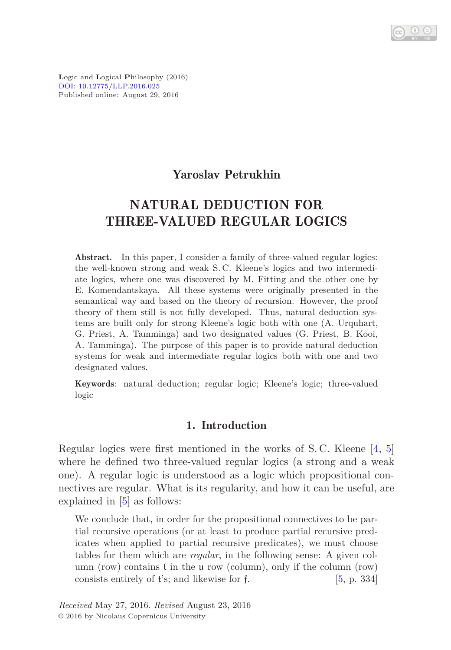**L**ogic and **L**ogical **P**hilosophy (2016) [DOI: 10.12775/LLP.2016.025](http://dx.doi.org/10.12775/LLP.2016.025) Published online: August 29, 2016

### Yaroslav Petrukhin

# NATURAL DEDUCTION FOR THREE-VALUED REGULAR LOGICS

Abstract. In this paper, I consider a family of three-valued regular logics: the well-known strong and weak S. C. Kleene's logics and two intermediate logics, where one was discovered by M. Fitting and the other one by E. Komendantskaya. All these systems were originally presented in the semantical way and based on the theory of recursion. However, the proof theory of them still is not fully developed. Thus, natural deduction systems are built only for strong Kleene's logic both with one (A. Urquhart, G. Priest, A. Tamminga) and two designated values (G. Priest, B. Kooi, A. Tamminga). The purpose of this paper is to provide natural deduction systems for weak and intermediate regular logics both with one and two designated values.

Keywords: natural deduction; regular logic; Kleene's logic; three-valued logic

### 1. Introduction

Regular logics were first mentioned in the works of S. C. Kleene [\[4,](#page-8-0) [5\]](#page-8-1) where he defined two three-valued regular logics (a strong and a weak one). A regular logic is understood as a logic which propositional connectives are regular. What is its regularity, and how it can be useful, are explained in [\[5\]](#page-8-1) as follows:

We conclude that, in order for the propositional connectives to be partial recursive operations (or at least to produce partial recursive predicates when applied to partial recursive predicates), we must choose tables for them which are *regular*, in the following sense: A given column (row) contains t in the u row (column), only if the column (row) consists entirely of  $t$ 's; and likewise for f.  $[5, p. 334]$  $[5, p. 334]$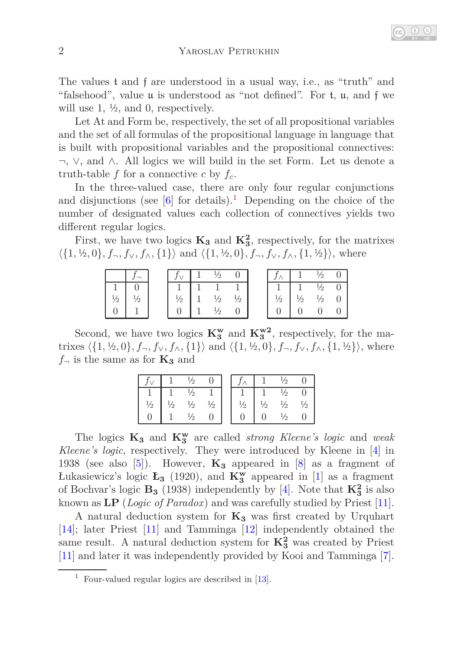The values t and f are understood in a usual way, i.e., as "truth" and "falsehood", value u is understood as "not defined". For t, u, and f we will use 1,  $\frac{1}{2}$ , and 0, respectively.

Let At and Form be, respectively, the set of all propositional variables and the set of all formulas of the propositional language in language that is built with propositional variables and the propositional connectives: ¬, ∨, and ∧. All logics we will build in the set Form. Let us denote a truth-table  $f$  for a connective  $c$  by  $f_c$ .

In the three-valued case, there are only four regular conjunctions and disjunctions (see  $[6]$  for details).<sup>[1](#page-1-0)</sup> Depending on the choice of the number of designated values each collection of connectives yields two different regular logics.

First, we have two logics  $\mathbf{K}_3$  and  $\mathbf{K}_3^2$ , respectively, for the matrixes  $\langle \{1, \frac{1}{2}, 0\}, f_{\neg}, f_{\vee}, f_{\wedge}, \{1\} \rangle$  and  $\langle \{1, \frac{1}{2}, 0\}, f_{\neg}, f_{\vee}, f_{\wedge}, \{1, \frac{1}{2}\} \rangle$ , where

|  |                    |  |  |               |               | $\frac{1}{2}$                                |  |
|--|--------------------|--|--|---------------|---------------|----------------------------------------------|--|
|  |                    |  |  |               |               | $\frac{1}{2}$                                |  |
|  | $^{\prime\prime}2$ |  |  | $\frac{1}{2}$ | $\frac{1}{2}$ | $\frac{1}{2}$ 0                              |  |
|  |                    |  |  |               |               | $\begin{matrix} 0 & 0 \\ 0 & 0 \end{matrix}$ |  |

Second, we have two logics  $\mathbf{K}_3^{\mathbf{w}}$  and  $\mathbf{K}_3^{\mathbf{w}2}$ , respectively, for the matrixes  $\langle \{1, \frac{1}{2}, 0\}, f_{\neg}, f_{\vee}, f_{\wedge}, \{1\} \rangle$  and  $\langle \{1, \frac{1}{2}, 0\}, f_{\neg}, f_{\vee}, f_{\wedge}, \{1, \frac{1}{2}\} \rangle$ , where  $f_{\neg}$  is the same as for  $\mathbf{K}_3$  and

|               |          | je            |               |               |               | $\sqrt{2}$    |               |
|---------------|----------|---------------|---------------|---------------|---------------|---------------|---------------|
|               |          | ′2            |               |               |               | $\frac{1}{2}$ |               |
| $\frac{1}{2}$ | $^{1/2}$ | $\frac{1}{2}$ | $\frac{1}{2}$ | $\frac{1}{2}$ | $\frac{1}{2}$ | $\frac{1}{2}$ | $\frac{1}{2}$ |
|               |          | '2            |               |               |               | ½             |               |

The logics **K<sup>3</sup>** and **K<sup>w</sup> <sup>3</sup>** are called *strong Kleene's logic* and *weak Kleene's logic*, respectively. They were introduced by Kleene in [\[4\]](#page-8-0) in 1938 (see also [\[5\]](#page-8-1)). However,  $\mathbf{K}_3$  appeared in [\[8\]](#page-9-0) as a fragment of Łukasiewicz's logic **Ł<sup>3</sup>** (1920), and **K<sup>w</sup> <sup>3</sup>** appeared in [\[1\]](#page-8-3) as a fragment of Bochvar's logic  $\mathbf{B}_3$  (1938) independently by [\[4\]](#page-8-0). Note that  $\mathbf{K}_3^2$  is also known as **LP** (*Logic of Paradox*) and was carefully studied by Priest [\[11\]](#page-9-1).

A natural deduction system for **K<sup>3</sup>** was first created by Urquhart [\[14\]](#page-9-2); later Priest [\[11\]](#page-9-1) and Tamminga [\[12\]](#page-9-3) independently obtained the same result. A natural deduction system for  $K_3^2$  was created by Priest [\[11\]](#page-9-1) and later it was independently provided by Kooi and Tamminga [\[7\]](#page-9-4).

<span id="page-1-0"></span><sup>&</sup>lt;sup>1</sup> Four-valued regular logics are described in  $[13]$ .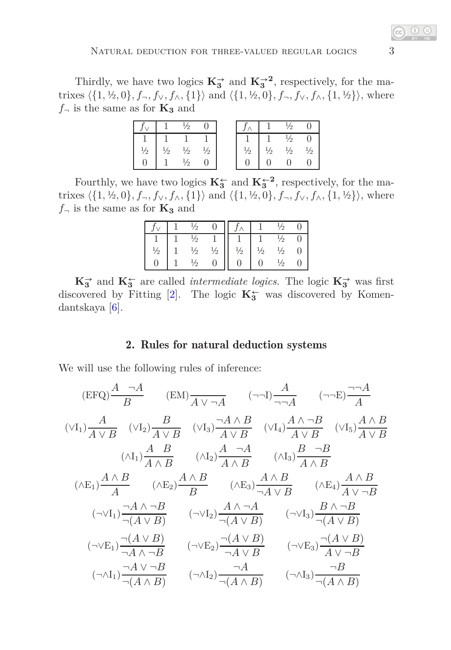Thirdly, we have two logics  $\mathbf{K}_{3}^{\rightarrow}$  and  $\mathbf{K}_{3}^{\rightarrow}$ <sup>2</sup>, respectively, for the matrixes  $\langle \{1, \frac{1}{2}, 0\}, f_{\neg}, f_{\vee}, f_{\wedge}, \{1\} \rangle$  and  $\langle \{1, \frac{1}{2}, 0\}, f_{\neg}, f_{\vee}, f_{\wedge}, \{1, \frac{1}{2}\} \rangle$ , where  $f_{\neg}$  is the same as for  $\mathbf{K}_3$  and

|               |               | $\frac{1}{2}$                  |          |               |               | $\frac{1}{2}$                       |  |
|---------------|---------------|--------------------------------|----------|---------------|---------------|-------------------------------------|--|
|               |               |                                |          |               |               |                                     |  |
| $\frac{1}{2}$ | $\frac{1}{2}$ | $\frac{1}{2}$<br>$\frac{1}{2}$ | $^{1/2}$ | $\frac{1}{2}$ | $\frac{1}{2}$ | $\frac{1}{2}$<br>$\frac{1}{2}$<br>0 |  |
|               |               |                                |          |               |               |                                     |  |

Fourthly, we have two logics  $\mathbf{K}_{3}^{\leftarrow}$  and  $\mathbf{K}_{3}^{\leftarrow}$ <sup>2</sup>, respectively, for the matrixes  $\langle \{1, \frac{1}{2}, 0\}, f_{\neg}, f_{\vee}, f_{\wedge}, \{1\} \rangle$  and  $\langle \{1, \frac{1}{2}, 0\}, f_{\neg}, f_{\vee}, f_{\wedge}, \{1, \frac{1}{2}\} \rangle$ , where  $f_{\neg}$  is the same as for  $\mathbf{K_3}$  and

|                        | $\frac{1}{2}$ |               |               |               |    |  |
|------------------------|---------------|---------------|---------------|---------------|----|--|
| $\mathcal{L}^{\prime}$ | $\frac{1}{2}$ | $\frac{1}{2}$ | $\frac{1}{2}$ | $\frac{1}{2}$ | ′2 |  |
|                        | $\gamma$      |               |               |               | ĸ  |  |

 $\mathbf{K}_{3}^{\perp}$  and  $\mathbf{K}_{3}^{\perp}$  are called *intermediate logics*. The logic  $\mathbf{K}_{3}^{\perp}$  was first discovered by Fitting [\[2\]](#page-8-4). The logic **K<sup>←</sup> <sup>3</sup>** was discovered by Komendantskaya [\[6\]](#page-8-2).

### 2. Rules for natural deduction systems

We will use the following rules of inference:

$$
(EFQ)\frac{A \neg A}{B} \qquad (EM)\frac{A}{A \lor \neg A} \qquad (\neg\neg I)\frac{A}{\neg \neg A} \qquad (\neg\neg E)\frac{\neg A}{A}
$$
\n
$$
(\lor I_1)\frac{A}{A \lor B} \qquad (\lor I_2)\frac{B}{A \lor B} \qquad (\lor I_3)\frac{\neg A \land B}{A \lor B} \qquad (\lor I_4)\frac{A \land \neg B}{A \lor B} \qquad (\lor I_5)\frac{A \land B}{A \lor B}
$$
\n
$$
(\land I_1)\frac{A \quad B}{A \land B} \qquad (\land I_2)\frac{A \quad \neg A}{A \land B} \qquad (\land I_3)\frac{B \quad \neg B}{A \land B}
$$
\n
$$
(\land E_1)\frac{A \land B}{A} \qquad (\land E_2)\frac{A \land B}{B} \qquad (\land E_3)\frac{A \land B}{\neg A \lor B} \qquad (\land E_4)\frac{A \land B}{A \lor \neg B}
$$
\n
$$
(\neg \lor I_1)\frac{\neg A \land \neg B}{\neg (A \lor B)} \qquad (\neg \lor I_2)\frac{A \land \neg A}{\neg (A \lor B)} \qquad (\neg \lor I_3)\frac{B \land \neg B}{\neg (A \lor B)}
$$
\n
$$
(\neg \lor E_1)\frac{\neg (A \lor B)}{\neg A \land \neg B} \qquad (\neg \lor E_2)\frac{\neg (A \lor B)}{\neg A \lor B} \qquad (\neg \lor E_3)\frac{\neg (A \lor B)}{A \lor \neg B}
$$
\n
$$
(\neg \land I_1)\frac{\neg A \lor \neg B}{\neg (A \land B)} \qquad (\neg \land I_2)\frac{\neg A}{\neg (A \land B)} \qquad (\neg \land I_3)\frac{\neg B}{\neg (A \land B)}
$$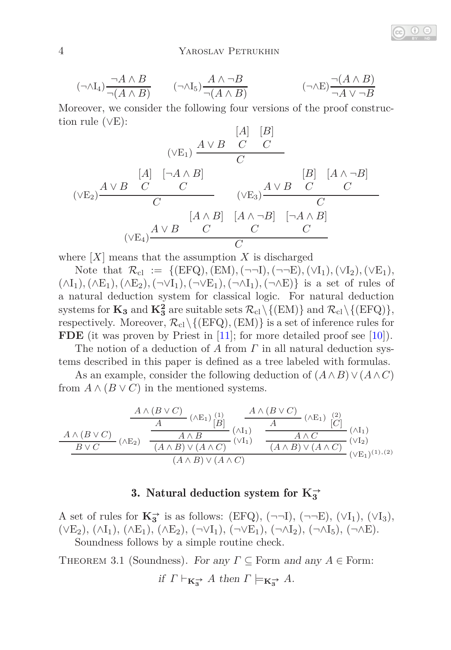$$
(\neg \land I_4) \frac{\neg A \land B}{\neg (A \land B)} \qquad (\neg \land I_5) \frac{A \land \neg B}{\neg (A \land B)} \qquad (\neg \land E) \frac{\neg (A \land B)}{\neg A \lor \neg B}
$$

Moreover, we consider the following four versions of the proof construction rule  $(\vee E)$ :

$$
\frac{[A] \begin{bmatrix} |A| & |B| \\ \hline C & C \end{bmatrix}}{(VE_2)\frac{A \vee B}{C} \begin{bmatrix} C \\ C \end{bmatrix}}
$$
\n
$$
(\vee E_2) \frac{A \vee B}{C} \begin{bmatrix} C \\ C \end{bmatrix} \begin{bmatrix} A \wedge B \\ C \end{bmatrix}
$$
\n
$$
(\vee E_3) \frac{A \vee B}{C} \begin{bmatrix} C \\ C \end{bmatrix}
$$
\n
$$
(\vee E_4) \frac{A \vee B}{C} \begin{bmatrix} A \wedge B \\ C \end{bmatrix} \begin{bmatrix} A \wedge \neg B \\ C \end{bmatrix} \begin{bmatrix} \neg A \wedge B \\ C \end{bmatrix}
$$

where  $[X]$  means that the assumption  $X$  is discharged

Note that  $\mathcal{R}_{cl} := \{ (EFQ), (EM), (\neg \neg I), (\neg \neg E), (\vee I_1), (\vee I_2), (\vee E_1),$  $(\wedge I_1), (\wedge E_1), (\wedge E_2), (\neg \vee I_1), (\neg \vee E_1), (\neg \wedge I_1), (\neg \wedge E)$  is a set of rules of a natural deduction system for classical logic. For natural deduction systems for  $\mathbf{K}_3$  and  $\mathbf{K}_3^2$  are suitable sets  $\mathcal{R}_{\text{cl}}\setminus\{(\text{EM})\}$  and  $\mathcal{R}_{\text{cl}}\setminus\{(\text{EFQ})\},$ respectively. Moreover,  $\mathcal{R}_{cl}\setminus\{ (EFQ), (EM) \}$  is a set of inference rules for **FDE** (it was proven by Priest in  $[11]$ ; for more detailed proof see  $[10]$ ).

The notion of a deduction of *A* from *Γ* in all natural deduction systems described in this paper is defined as a tree labeled with formulas.

As an example, consider the following deduction of  $(A \wedge B) \vee (A \wedge C)$ from  $A \wedge (B \vee C)$  in the mentioned systems.

$$
\frac{A \wedge (B \vee C)}{A \wedge B \vee C} \xrightarrow{\begin{array}{c} (A \vee B) \\ (A \wedge B) \vee (A \wedge C) \end{array}} \frac{A \wedge (B \vee C)}{(A \wedge B) \vee (A \wedge C)} \xrightarrow{\begin{array}{c} (A \vee C) \\ (A \wedge B) \vee (A \wedge C) \end{array}} \frac{A \wedge (B \vee C)}{(A \wedge B) \vee (A \wedge C)} \xrightarrow{\begin{array}{c} (A \vee C) \\ (A \wedge B) \vee (A \wedge C) \end{array}} \frac{A \wedge C}{(A \wedge B) \vee (A \wedge C)} \xrightarrow{\begin{array}{c} (A \vee B) \\ (V \vee E_1) \end{array}} \frac{A \wedge C}{(A \wedge B) \vee (A \wedge C)} \xrightarrow{\begin{array}{c} (A \vee B) \\ (V \vee E_1) \end{array}} \frac{A \wedge C}{(A \wedge B) \vee (A \wedge C)} \xrightarrow{\begin{array}{c} (A \vee B) \\ (V \vee E_1) \end{array}} \frac{A \wedge C}{(A \wedge B) \vee (A \wedge C)} \xrightarrow{\begin{array}{c} (A \vee B) \\ (V \vee E_1) \end{array}} \frac{A \wedge C}{(A \wedge B) \vee (A \wedge C)} \xrightarrow{\begin{array}{c} (A \vee B) \\ (V \vee E_1) \end{array}} \frac{A \wedge C}{(A \wedge B) \vee (A \wedge C)} \xrightarrow{\begin{array}{c} (A \vee B) \\ (V \vee E_1) \end{array}} \frac{A \wedge C}{(A \wedge B) \vee (A \wedge C)} \xrightarrow{\begin{array}{c} (A \vee B) \\ (V \vee E_1) \end{array}} \frac{A \wedge C}{(A \wedge B) \vee (A \wedge C)} \xrightarrow{\begin{array}{c} (A \vee B) \\ (V \vee E_1) \end{array}} \frac{A \wedge C}{(A \wedge B) \vee (A \wedge C)} \xrightarrow{\begin{array}{c} (A \vee B) \\ (V \vee E_1) \end{array}} \frac{A \wedge C}{(A \wedge B) \vee (A \wedge C)} \xrightarrow{\begin
$$

# 3. Natural deduction system for  $K_3^{\rightarrow}$

A set of rules for  $\mathbf{K}_3^{\rightarrow}$  is as follows: (EFQ),  $(\neg\neg L)$ ,  $(\neg\neg E)$ ,  $(\vee I_1)$ ,  $(\vee I_3)$ ,  $(\vee E_2), (\wedge I_1), (\wedge E_1), (\wedge E_2), (\neg \vee I_1), (\neg \vee E_1), (\neg \wedge I_2), (\neg \wedge I_5), (\neg \wedge E).$ Soundness follows by a simple routine check.

<span id="page-3-0"></span>THEOREM 3.1 (Soundness). For any  $\Gamma \subset$  Form and any  $A \in$  Form:

if 
$$
\Gamma \vdash_{\mathbf{K}_{3}^{\rightarrow}} A
$$
 then  $\Gamma \models_{\mathbf{K}_{3}^{\rightarrow}} A$ .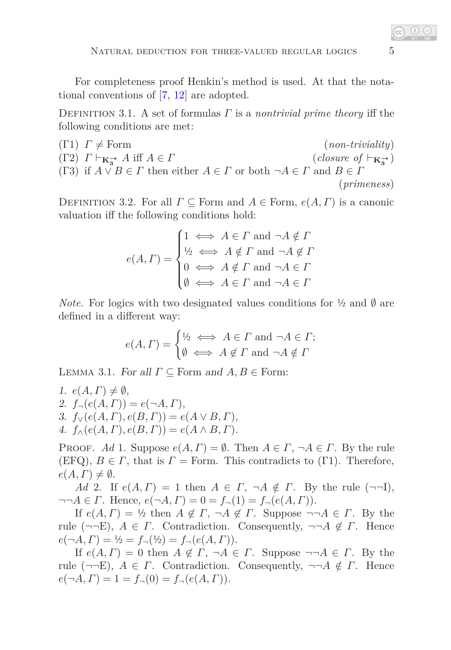For completeness proof Henkin's method is used. At that the notational conventions of [\[7,](#page-9-4) [12\]](#page-9-3) are adopted.

Definition 3.1. A set of formulas *Γ* is a *nontrivial prime theory* iff the following conditions are met:

(T1) 
$$
\Gamma \neq
$$
 Form  
\n(T2)  $\Gamma \vdash_{\mathbf{K}_{3}^{\rightarrow}} A$  iff  $A \in \Gamma$   
\n(T3) if  $A \lor B \in \Gamma$  then either  $A \in \Gamma$  or both  $\neg A \in \Gamma$  and  $B \in \Gamma$   
\n(*primeness*)  
\n(*primeness*)

DEFINITION 3.2. For all  $\Gamma \subseteq$  Form and  $A \in$  Form,  $e(A, \Gamma)$  is a canonic valuation iff the following conditions hold:

$$
e(A, \Gamma) = \begin{cases} 1 \iff A \in \Gamma \text{ and } \neg A \notin \Gamma \\ \frac{1}{2} \iff A \notin \Gamma \text{ and } \neg A \notin \Gamma \\ 0 \iff A \notin \Gamma \text{ and } \neg A \in \Gamma \\ \emptyset \iff A \in \Gamma \text{ and } \neg A \in \Gamma \end{cases}
$$

*Note.* For logics with two designated values conditions for  $\frac{1}{2}$  and  $\emptyset$  are defined in a different way:

$$
e(A, \Gamma) = \begin{cases} \frac{1}{2} & \Longleftrightarrow A \in \Gamma \text{ and } \neg A \in \Gamma; \\ \emptyset & \Longleftrightarrow A \not\in \Gamma \text{ and } \neg A \not\in \Gamma \end{cases}
$$

<span id="page-4-0"></span>LEMMA 3.1. For all  $\Gamma \subset$  Form and  $A, B \in$  Form:

1.  $e(A, \Gamma) \neq \emptyset$ , 2.  $f_{\neg}(e(A, \Gamma)) = e(\neg A, \Gamma),$ 3.  $f_{\vee}(e(A, \Gamma), e(B, \Gamma)) = e(A \vee B, \Gamma),$ 4.  $f_{\wedge}(e(A, \Gamma), e(B, \Gamma)) = e(A \wedge B, \Gamma).$ 

PROOF. Ad 1. Suppose  $e(A, \Gamma) = \emptyset$ . Then  $A \in \Gamma$ ,  $\neg A \in \Gamma$ . By the rule (EFQ),  $B \in \Gamma$ , that is  $\Gamma =$  Form. This contradicts to ( $\Gamma$ 1). Therefore,  $e(A, \Gamma) \neq \emptyset$ .

*Ad* 2. If  $e(A, \Gamma) = 1$  then  $A \in \Gamma$ ,  $\neg A \notin \Gamma$ . By the rule ( $\neg \neg I$ ),  $\neg\neg A \in \Gamma$ . Hence,  $e(\neg A, \Gamma) = 0 = f_{\neg}(1) = f_{\neg}(e(A, \Gamma))$ .

If  $e(A, \Gamma) = \frac{1}{2}$  then  $A \notin \Gamma$ ,  $\neg A \notin \Gamma$ . Suppose  $\neg \neg A \in \Gamma$ . By the rule  $(\neg\neg E)$ ,  $A \in \Gamma$ . Contradiction. Consequently,  $\neg\neg A \notin \Gamma$ . Hence  $e(\neg A, \Gamma) = \frac{1}{2} = f_{\neg}(\frac{1}{2}) = f_{\neg}(e(A, \Gamma)).$ 

If  $e(A, \Gamma) = 0$  then  $A \notin \Gamma$ ,  $\neg A \in \Gamma$ . Suppose  $\neg \neg A \in \Gamma$ . By the rule ( $\neg\neg E$ ),  $A \in \Gamma$ . Contradiction. Consequently,  $\neg\neg A \notin \Gamma$ . Hence  $e(\neg A, \Gamma) = 1 = f_{\neg}(0) = f_{\neg}(e(A, \Gamma)).$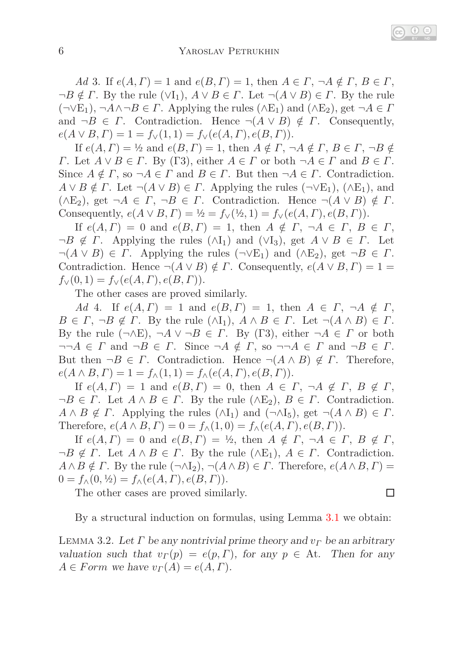*Ad* 3. If  $e(A, \Gamma) = 1$  and  $e(B, \Gamma) = 1$ , then  $A \in \Gamma$ ,  $\neg A \notin \Gamma$ ,  $B \in \Gamma$ ,  $\neg B \notin \Gamma$ . By the rule  $(\forall I_1)$ ,  $A \lor B \in \Gamma$ . Let  $\neg (A \lor B) \in \Gamma$ . By the rule  $(\neg \vee E_1)$ ,  $\neg A \wedge \neg B \in \Gamma$ . Applying the rules  $(\wedge E_1)$  and  $(\wedge E_2)$ , get  $\neg A \in \Gamma$ and  $\neg B \in \Gamma$ . Contradiction. Hence  $\neg (A \lor B) \notin \Gamma$ . Consequently,  $e(A \vee B, \Gamma) = 1 = f_{\vee}(1, 1) = f_{\vee}(e(A, \Gamma), e(B, \Gamma)).$ 

If  $e(A, \Gamma) = \frac{1}{2}$  and  $e(B, \Gamma) = 1$ , then  $A \notin \Gamma$ ,  $\neg A \notin \Gamma$ ,  $B \in \Gamma$ ,  $\neg B \notin \Gamma$ *Γ*. Let  $A \lor B \in \Gamma$ . By (Γ3), either  $A \in \Gamma$  or both  $\neg A \in \Gamma$  and  $B \in \Gamma$ . Since  $A \notin \Gamma$ , so  $\neg A \in \Gamma$  and  $B \in \Gamma$ . But then  $\neg A \in \Gamma$ . Contradiction.  $A \vee B \notin \Gamma$ . Let  $\neg(A \vee B) \in \Gamma$ . Applying the rules ( $\neg \vee E_1$ ), ( $\wedge E_1$ ), and  $(\wedge E_2)$ , get  $\neg A \in \Gamma$ ,  $\neg B \in \Gamma$ . Contradiction. Hence  $\neg (A \vee B) \notin \Gamma$ . Consequently,  $e(A \vee B, \Gamma) = \frac{1}{2} = f_{\vee}(\frac{1}{2}, 1) = f_{\vee}(e(A, \Gamma), e(B, \Gamma)).$ 

If  $e(A, \Gamma) = 0$  and  $e(B, \Gamma) = 1$ , then  $A \notin \Gamma$ ,  $\neg A \in \Gamma$ ,  $B \in \Gamma$ ,  $\neg B \notin \Gamma$ . Applying the rules  $(\land I_1)$  and  $(\lor I_3)$ , get  $A \lor B \in \Gamma$ . Let  $\neg(A \lor B) \in \Gamma$ . Applying the rules  $(\neg \lor E_1)$  and  $(\land E_2)$ , get  $\neg B \in \Gamma$ . Contradiction. Hence  $\neg(A \lor B) \notin \Gamma$ . Consequently,  $e(A \lor B, \Gamma) = 1$  $f_{\vee}(0,1) = f_{\vee}(e(A, \Gamma), e(B, \Gamma)).$ 

The other cases are proved similarly.

*Ad* 4. If  $e(A, \Gamma) = 1$  and  $e(B, \Gamma) = 1$ , then  $A \in \Gamma$ ,  $\neg A \notin \Gamma$ ,  $B \in \Gamma$ ,  $\neg B \notin \Gamma$ . By the rule  $(\land I_1)$ ,  $A \land B \in \Gamma$ . Let  $\neg (A \land B) \in \Gamma$ . By the rule  $(\neg \land E)$ ,  $\neg A \lor \neg B \in \Gamma$ . By (Γ3), either  $\neg A \in \Gamma$  or both  $\neg\neg A \in \Gamma$  and  $\neg B \in \Gamma$ . Since  $\neg A \notin \Gamma$ , so  $\neg\neg A \in \Gamma$  and  $\neg B \in \Gamma$ . But then  $\neg B \in \Gamma$ . Contradiction. Hence  $\neg (A \land B) \notin \Gamma$ . Therefore,  $e(A \wedge B, \Gamma) = 1 = f_{\wedge}(1, 1) = f_{\wedge}(e(A, \Gamma), e(B, \Gamma)).$ 

If  $e(A, \Gamma) = 1$  and  $e(B, \Gamma) = 0$ , then  $A \in \Gamma$ ,  $\neg A \notin \Gamma$ ,  $B \notin \Gamma$ ,  $\neg B \in \Gamma$ . Let  $A \wedge B \in \Gamma$ . By the rule  $(\wedge E_2)$ ,  $B \in \Gamma$ . Contradiction.  $A \wedge B \notin \Gamma$ . Applying the rules  $(\wedge I_1)$  and  $(\neg \wedge I_5)$ , get  $\neg(A \wedge B) \in \Gamma$ . Therefore,  $e(A \wedge B, \Gamma) = 0 = f_{\wedge}(1,0) = f_{\wedge}(e(A, \Gamma), e(B, \Gamma)).$ 

If  $e(A, \Gamma) = 0$  and  $e(B, \Gamma) = \frac{1}{2}$ , then  $A \notin \Gamma$ ,  $\neg A \in \Gamma$ ,  $B \notin \Gamma$ ,  $\neg B \notin \Gamma$ . Let  $A \wedge B \in \Gamma$ . By the rule  $(\wedge E_1)$ ,  $A \in \Gamma$ . Contradiction.  $A \wedge B \notin \Gamma$ . By the rule  $(\neg \wedge I_2)$ ,  $\neg(A \wedge B) \in \Gamma$ . Therefore,  $e(A \wedge B, \Gamma) =$  $0 = f_{\wedge}(0, \frac{1}{2}) = f_{\wedge}(e(A, \Gamma), e(B, \Gamma)).$ 

The other cases are proved similarly.

<span id="page-5-1"></span>By a structural induction on formulas, using Lemma [3.1](#page-4-0) we obtain:

 $\Box$ 

<span id="page-5-0"></span>Lemma 3.2. Let *Γ* be any nontrivial prime theory and *v<sup>Γ</sup>* be an arbitrary valuation such that  $v_{\Gamma}(p) = e(p, \Gamma)$ , for any  $p \in$  At. Then for any  $A \in Form$  we have  $v_{\Gamma}(A) = e(A, \Gamma)$ .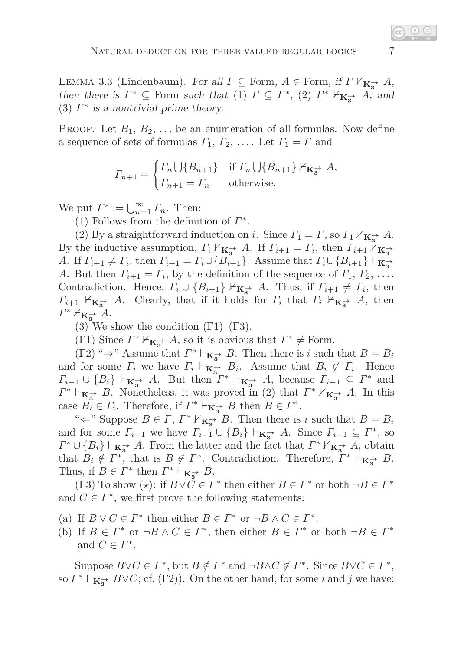LEMMA 3.3 (Lindenbaum). For all  $\Gamma \subseteq$  Form,  $A \in$  Form, if  $\Gamma \nvDash_{\mathbf{K}_{3}^{\rightarrow}} A$ , then there is  $\Gamma^* \subseteq \text{Form such that (1) } \Gamma \subseteq \Gamma^*$ , (2)  $\Gamma^* \nvDash_{\mathbf{K}_{3}^-} A$ , and (3)  $\Gamma^*$  is a nontrivial prime theory.

**PROOF.** Let  $B_1, B_2, \ldots$  be an enumeration of all formulas. Now define a sequence of sets of formulas  $\Gamma_1, \Gamma_2, \ldots$  Let  $\Gamma_1 = \Gamma$  and

$$
\Gamma_{n+1} = \begin{cases} \Gamma_n \cup \{B_{n+1}\} & \text{if } \Gamma_n \cup \{B_{n+1}\} \nvdash_{\mathbf{K}_3^{\to}} A, \\ \Gamma_{n+1} = \Gamma_n & \text{otherwise.} \end{cases}
$$

We put  $\Gamma^* := \bigcup_{n=1}^{\infty} \Gamma_n$ . Then:

(1) Follows from the definition of  $\Gamma^*$ .

(2) By a straightforward induction on *i*. Since  $\Gamma_1 = \Gamma$ , so  $\Gamma_1 \nvdash_{\mathbf{K}_3^{\to}} A$ . By the inductive assumption,  $\Gamma_i \nvDash_{\mathbf{K}_{3}^-} A$ . If  $\Gamma_{i+1} = \Gamma_i$ , then  $\Gamma_{i+1} \nvDash_{\mathbf{K}_{3}^-} A$ *A*. If  $\Gamma_{i+1} \neq \Gamma_i$ , then  $\Gamma_{i+1} = \Gamma_i \cup \{B_{i+1}\}\$ . Assume that  $\Gamma_i \cup \{B_{i+1}\}\vdash_{\mathbf{K}_3^{\to\bullet}}$ *A*. But then  $\Gamma_{i+1} = \Gamma_i$ , by the definition of the sequence of  $\Gamma_1, \Gamma_2, \ldots$ . Contradiction. Hence,  $\Gamma_i \cup \{B_{i+1}\} \nvDash_{\mathbf{K}_{3}^-} A$ . Thus, if  $\Gamma_{i+1} \neq \Gamma_i$ , then  $\Gamma_{i+1}$   $\nvDash_{\mathbf{K}_{3}^{\rightarrow}} A$ . Clearly, that if it holds for  $\Gamma_{i}$  that  $\Gamma_{i}$   $\nvdash_{\mathbf{K}_{3}^{\rightarrow}} A$ , then *Γ*<sup>\*</sup>  $\nvDash$ **K**<sub>3</sub><sup>•</sup> *A*.

(3) We show the condition  $(\Gamma 1)$ – $(\Gamma 3)$ .

(Γ1) Since  $\Gamma^* \nvDash_{\mathbf{K}_3^{\to}} A$ , so it is obvious that  $\Gamma^* \neq \text{Form}$ .

 $(\Gamma 2)$  " $\Rightarrow$ " Assume that  $\Gamma^* \vdash_{\mathbf{K}_{3}^{\to}} B$ . Then there is *i* such that  $B = B_i$ and for some  $\Gamma_i$  we have  $\Gamma_i \vdash_{\mathbf{K}_{\mathbf{3}}^{\rightarrow}} B_i$ . Assume that  $B_i \notin \Gamma_i$ . Hence  $\Gamma_{i-1} \cup \{B_i\} \vdash_{\mathbf{K}_{3}^{\to}} A$ . But then  $\Gamma^* \vdash_{\mathbf{K}_{3}^{\to}} A$ , because  $\Gamma_{i-1} \subseteq \Gamma^*$  and  $\Gamma^* \vdash_{\mathbf{K}_{3}^-} B$ . Nonetheless, it was proved in (2) that  $\Gamma^* \nvDash_{\mathbf{K}_{3}^-} A$ . In this case  $B_i \in \Gamma_i$ . Therefore, if  $\Gamma^* \vdash_{\mathbf{K}_{3}^-} B$  then  $B \in \Gamma^*$ .

" $\Leftarrow$ " Suppose  $B \in \Gamma$ ,  $\Gamma^* \nvDash_{\mathbf{K}_{3}^*} B$ . Then there is *i* such that  $B = B_i$ and for some  $\Gamma_{i-1}$  we have  $\Gamma_{i-1} \cup \{B_i\} \vdash_{\mathbf{K}_{\mathbf{S}}^{\to}} A$ . Since  $\Gamma_{i-1} \subseteq \Gamma^*$ , so  $\Gamma^* \cup \{B_i\} \vdash_{\mathbf{K}_{3}^-} A$ . From the latter and the fact that  $\Gamma^* \nvDash_{\mathbf{K}_{3}^-} A$ , obtain that  $B_i \notin \Gamma^*$ , that is  $B \notin \Gamma^*$ . Contradiction. Therefore,  $\Gamma^* \vdash_{\mathbf{K}_{\mathbf{3}}} B$ . Thus, if  $B \in \Gamma^*$  then  $\Gamma^* \vdash_{\mathbf{K}_{3}^{\rightarrow}} B$ .

(Γ3) To show ( $\star$ ): if  $B \vee C \in \Gamma^*$  then either  $B \in \Gamma^*$  or both  $\neg B \in \Gamma^*$ and  $C \in \Gamma^*$ , we first prove the following statements:

- (a) If  $B \vee C \in \Gamma^*$  then either  $B \in \Gamma^*$  or  $\neg B \wedge C \in \Gamma^*$ .
- (b) If  $B \in \Gamma^*$  or  $\neg B \wedge C \in \Gamma^*$ , then either  $B \in \Gamma^*$  or both  $\neg B \in \Gamma^*$ and  $C \in \Gamma^*$ .

Suppose  $B \vee C \in \Gamma^*$ , but  $B \notin \Gamma^*$  and  $\neg B \wedge C \notin \Gamma^*$ . Since  $B \vee C \in \Gamma^*$ , so  $\Gamma^* \vdash_{\mathbf{K}_{3}^{\rightarrow}} B \vee C$ ; cf. (Γ2)). On the other hand, for some *i* and *j* we have: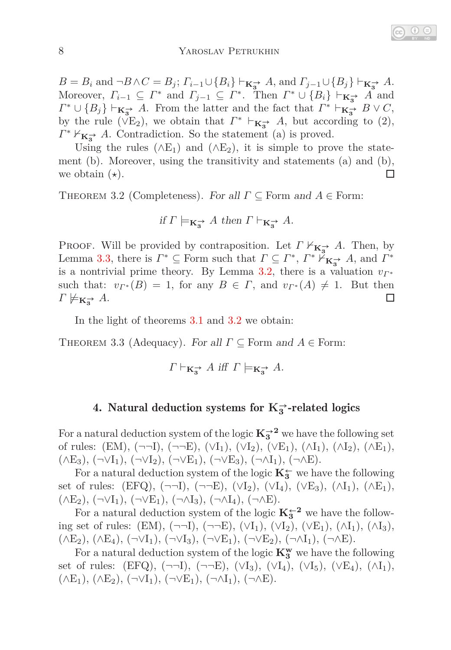#### 8 YAROSLAV PETRUKHIN

 $B = B_i$  and  $\neg B \land C = B_j$ ;  $\Gamma_{i-1} \cup \{B_i\} \vdash_{\mathbf{K}_{\mathbf{3}}^{\rightarrow}} A$ , and  $\Gamma_{j-1} \cup \{B_j\} \vdash_{\mathbf{K}_{\mathbf{3}}^{\rightarrow}} A$ . Moreover,  $\Gamma_{i-1} \subseteq \Gamma^*$  and  $\Gamma_{j-1} \subseteq \Gamma^*$ . Then  $\Gamma^* \cup \{B_i\} \vdash_{\mathbf{K}_{\mathbf{S}}^*} A$  and  $\Gamma^* \cup \{B_j\} \vdash_{\mathbf{K}_{\mathbf{3}}^{\to}} A$ . From the latter and the fact that  $\Gamma^* \vdash_{\mathbf{K}_{\mathbf{3}}^{\to}} B \vee C$ , by the rule ( $\check{V}E_2$ ), we obtain that  $\Gamma^*$   $\vdash_{\mathbf{K}_{3}^-} A$ , but according to (2),  $\Gamma^* \nvDash_{\mathbf{K}_{3}^-} A$ . Contradiction. So the statement (a) is proved.

Using the rules ( $\wedge$ E<sub>1</sub>) and ( $\wedge$ E<sub>2</sub>), it is simple to prove the statement (b). Moreover, using the transitivity and statements (a) and (b), we obtain (*⋆*).  $\Box$ 

<span id="page-7-0"></span>Theorem 3.2 (Completeness). For all *Γ* ⊆ Form and *A* ∈ Form:

if 
$$
\Gamma \models_{\mathbf{K}_3^{\rightarrow}} A
$$
 then  $\Gamma \vdash_{\mathbf{K}_3^{\rightarrow}} A$ .

Proof. Will be provided by contraposition. Let *Γ* 0**K→<sup>3</sup>** *A*. Then, by Lemma [3.3,](#page-5-0) there is  $\Gamma^* \subseteq \text{Form such that } \Gamma \subseteq \Gamma^*, \Gamma^* \nightharpoonup_{\mathbf{K}_{3}^{\to}} A$ , and  $\Gamma^*$ is a nontrivial prime theory. By Lemma [3.2,](#page-5-1) there is a valuation  $v_{\Gamma^*}$ such that:  $v_{\Gamma}$  \* (*B*) = 1, for any  $B \in \Gamma$ , and  $v_{\Gamma}$  \* (*A*)  $\neq$  1. But then  $\Gamma \not\models \mathbf{k}_{\mathbf{s}} \rightarrow A$ .  $\Box$ 

<span id="page-7-1"></span>In the light of theorems [3.1](#page-3-0) and [3.2](#page-7-0) we obtain:

Theorem 3.3 (Adequacy). For all *Γ* ⊆ Form and *A* ∈ Form:

$$
\Gamma \vdash_{\mathbf{K}_{3}^{\rightarrow}} A
$$
 iff  $\Gamma \models_{\mathbf{K}_{3}^{\rightarrow}} A$ .

# 4. Natural deduction systems for  $K_3^{\rightarrow}$ -related logics

For a natural deduction system of the logic  $K_3^{\rightarrow 2}$  we have the following set of rules:  $(EM)$ ,  $(\neg \neg L)$ ,  $(\neg \neg E)$ ,  $(\vee I_1)$ ,  $(\vee I_2)$ ,  $(\vee E_1)$ ,  $(\wedge I_1)$ ,  $(\wedge I_2)$ ,  $(\wedge E_1)$ ,  $(\wedge E_3), (\neg \vee I_1), (\neg \vee I_2), (\neg \vee E_1), (\neg \vee E_3), (\neg \wedge I_1), (\neg \wedge E).$ 

For a natural deduction system of the logic  $\mathbf{K}_3^{\leftarrow}$  we have the following set of rules: (EFQ),  $(\neg \neg I)$ ,  $(\neg \neg E)$ ,  $(\vee I_2)$ ,  $(\vee I_4)$ ,  $(\vee E_3)$ ,  $(\wedge I_1)$ ,  $(\wedge E_1)$ ,  $(\wedge E_2), (\neg \vee I_1), (\neg \vee E_1), (\neg \wedge I_3), (\neg \wedge I_4), (\neg \wedge E).$ 

For a natural deduction system of the logic  $K_3^{\leftarrow 2}$  we have the following set of rules: (EM),  $(\neg \neg I)$ ,  $(\neg \neg E)$ ,  $(\vee I_1)$ ,  $(\vee I_2)$ ,  $(\vee E_1)$ ,  $(\wedge I_1)$ ,  $(\wedge I_3)$ ,  $(\wedge E_2), (\wedge E_4), (\neg \vee I_1), (\neg \vee I_3), (\neg \vee E_1), (\neg \vee E_2), (\neg \wedge I_1), (\neg \wedge E).$ 

For a natural deduction system of the logic  $\mathbf{K}_3^{\mathbf{w}}$  we have the following set of rules: (EFQ),  $(\neg \neg I)$ ,  $(\neg \neg E)$ ,  $(\vee I_3)$ ,  $(\vee I_4)$ ,  $(\vee I_5)$ ,  $(\vee E_4)$ ,  $(\wedge I_1)$ ,  $(\wedge E_1), (\wedge E_2), (\neg \vee I_1), (\neg \vee E_1), (\neg \wedge I_1), (\neg \wedge E).$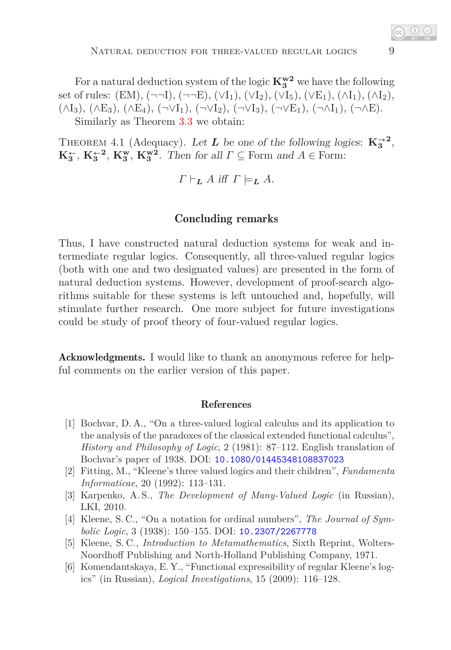For a natural deduction system of the logic  $K_3^{w2}$  we have the following set of rules:  $(EM), (\neg \neg I), (\neg \neg E), (\vee I_1), (\vee I_2), (\vee I_5), (\vee E_1), (\wedge I_1), (\wedge I_2),$  $(\wedge I_3), (\wedge E_3), (\wedge E_4), (\neg \vee I_1), (\neg \vee I_2), (\neg \vee I_3), (\neg \vee E_1), (\neg \wedge I_1), (\neg \wedge E).$ Similarly as Theorem [3.3](#page-7-1) we obtain:

THEOREM 4.1 (Adequacy). Let **L** be one of the following logics:  $\mathbf{K}_3^{\rightarrow 2}$ ,

 $\mathbf{K}_3^{\leftarrow}$ ,  $\mathbf{K}_3^{\mathbf{w}}$ ,  $\mathbf{K}_3^{\mathbf{w}}$ ,  $\mathbf{K}_3^{\mathbf{w}}$ . Then for all  $\Gamma \subseteq$  Form and  $A \in$  Form:

$$
\Gamma \vdash_{\mathbf{L}} A \text{ iff } \Gamma \models_{\mathbf{L}} A.
$$

### Concluding remarks

Thus, I have constructed natural deduction systems for weak and intermediate regular logics. Consequently, all three-valued regular logics (both with one and two designated values) are presented in the form of natural deduction systems. However, development of proof-search algorithms suitable for these systems is left untouched and, hopefully, will stimulate further research. One more subject for future investigations could be study of proof theory of four-valued regular logics.

Acknowledgments. I would like to thank an anonymous referee for helpful comments on the earlier version of this paper.

#### References

- <span id="page-8-3"></span>[1] Bochvar, D. A., "On a three-valued logical calculus and its application to the analysis of the paradoxes of the classical extended functional calculus", *History and Philosophy of Logic*, 2 (1981): 87–112. English translation of Bochvar's paper of 1938. DOI: [10.1080/01445348108837023](http://dx.doi.org/10.1080/01445348108837023)
- <span id="page-8-4"></span>[2] Fitting, M., "Kleene's three valued logics and their children", *Fundamenta Informaticae*, 20 (1992): 113–131.
- [3] Karpenko, A. S., *The Development of Many-Valued Logic* (in Russian), LKI, 2010.
- <span id="page-8-0"></span>[4] Kleene, S. C., "On a notation for ordinal numbers", *The Journal of Symbolic Logic*, 3 (1938): 150–155. DOI: [10.2307/2267778](http://dx.doi.org/10.2307/2267778)
- <span id="page-8-1"></span>[5] Kleene, S. C., *Introduction to Metamathematics*, Sixth Reprint, Wolters-Noordhoff Publishing and North-Holland Publishing Company, 1971.
- <span id="page-8-2"></span>[6] Komendantskaya, E. Y., "Functional expressibility of regular Kleene's logics" (in Russian), *Logical Investigations*, 15 (2009): 116–128.